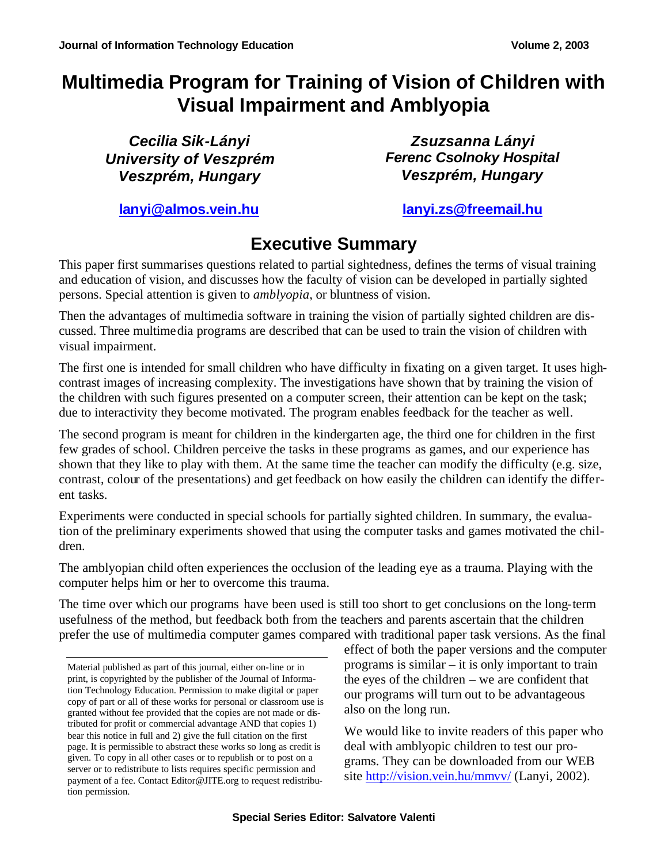# **Multimedia Program for Training of Vision of Children with Visual Impairment and Amblyopia**

*Cecilia Sik-Lányi University of Veszprém Veszprém, Hungary*

*Zsuzsanna Lányi Ferenc Csolnoky Hospital Veszprém, Hungary*

**lanyi@almos.vein.hu lanyi.zs@freemail.hu**

# **Executive Summary**

This paper first summarises questions related to partial sightedness, defines the terms of visual training and education of vision, and discusses how the faculty of vision can be developed in partially sighted persons. Special attention is given to *amblyopia*, or bluntness of vision.

Then the advantages of multimedia software in training the vision of partially sighted children are discussed. Three multimedia programs are described that can be used to train the vision of children with visual impairment.

The first one is intended for small children who have difficulty in fixating on a given target. It uses highcontrast images of increasing complexity. The investigations have shown that by training the vision of the children with such figures presented on a computer screen, their attention can be kept on the task; due to interactivity they become motivated. The program enables feedback for the teacher as well.

The second program is meant for children in the kindergarten age, the third one for children in the first few grades of school. Children perceive the tasks in these programs as games, and our experience has shown that they like to play with them. At the same time the teacher can modify the difficulty (e.g. size, contrast, colour of the presentations) and get feedback on how easily the children can identify the different tasks.

Experiments were conducted in special schools for partially sighted children. In summary, the evaluation of the preliminary experiments showed that using the computer tasks and games motivated the children.

The amblyopian child often experiences the occlusion of the leading eye as a trauma. Playing with the computer helps him or her to overcome this trauma.

The time over which our programs have been used is still too short to get conclusions on the long-term usefulness of the method, but feedback both from the teachers and parents ascertain that the children prefer the use of multimedia computer games compared with traditional paper task versions. As the final

effect of both the paper versions and the computer programs is similar – it is only important to train the eyes of the children – we are confident that our programs will turn out to be advantageous also on the long run.

We would like to invite readers of this paper who deal with amblyopic children to test our programs. They can be downloaded from our WEB site http://vision.vein.hu/mmvv/ (Lanyi, 2002).

Material published as part of this journal, either on-line or in print, is copyrighted by the publisher of the Journal of Information Technology Education. Permission to make digital or paper copy of part or all of these works for personal or classroom use is granted without fee provided that the copies are not made or distributed for profit or commercial advantage AND that copies 1) bear this notice in full and 2) give the full citation on the first page. It is permissible to abstract these works so long as credit is given. To copy in all other cases or to republish or to post on a server or to redistribute to lists requires specific permission and payment of a fee. Contact Editor@JITE.org to request redistribution permission.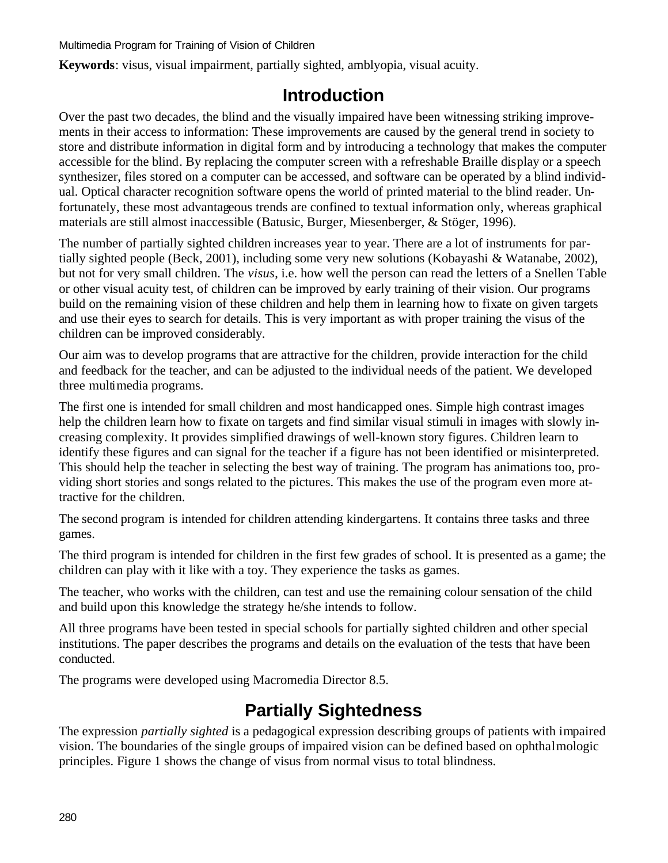**Keywords**: visus, visual impairment, partially sighted, amblyopia, visual acuity.

## **Introduction**

Over the past two decades, the blind and the visually impaired have been witnessing striking improvements in their access to information: These improvements are caused by the general trend in society to store and distribute information in digital form and by introducing a technology that makes the computer accessible for the blind. By replacing the computer screen with a refreshable Braille display or a speech synthesizer, files stored on a computer can be accessed, and software can be operated by a blind individual. Optical character recognition software opens the world of printed material to the blind reader. Unfortunately, these most advantageous trends are confined to textual information only, whereas graphical materials are still almost inaccessible (Batusic, Burger, Miesenberger, & Stöger, 1996).

The number of partially sighted children increases year to year. There are a lot of instruments for partially sighted people (Beck, 2001), including some very new solutions (Kobayashi & Watanabe, 2002), but not for very small children. The *visus*, i.e. how well the person can read the letters of a Snellen Table or other visual acuity test, of children can be improved by early training of their vision. Our programs build on the remaining vision of these children and help them in learning how to fixate on given targets and use their eyes to search for details. This is very important as with proper training the visus of the children can be improved considerably.

Our aim was to develop programs that are attractive for the children, provide interaction for the child and feedback for the teacher, and can be adjusted to the individual needs of the patient. We developed three multimedia programs.

The first one is intended for small children and most handicapped ones. Simple high contrast images help the children learn how to fixate on targets and find similar visual stimuli in images with slowly increasing complexity. It provides simplified drawings of well-known story figures. Children learn to identify these figures and can signal for the teacher if a figure has not been identified or misinterpreted. This should help the teacher in selecting the best way of training. The program has animations too, providing short stories and songs related to the pictures. This makes the use of the program even more attractive for the children.

The second program is intended for children attending kindergartens. It contains three tasks and three games.

The third program is intended for children in the first few grades of school. It is presented as a game; the children can play with it like with a toy. They experience the tasks as games.

The teacher, who works with the children, can test and use the remaining colour sensation of the child and build upon this knowledge the strategy he/she intends to follow.

All three programs have been tested in special schools for partially sighted children and other special institutions. The paper describes the programs and details on the evaluation of the tests that have been conducted.

The programs were developed using Macromedia Director 8.5.

# **Partially Sightedness**

The expression *partially sighted* is a pedagogical expression describing groups of patients with impaired vision. The boundaries of the single groups of impaired vision can be defined based on ophthalmologic principles. Figure 1 shows the change of visus from normal visus to total blindness.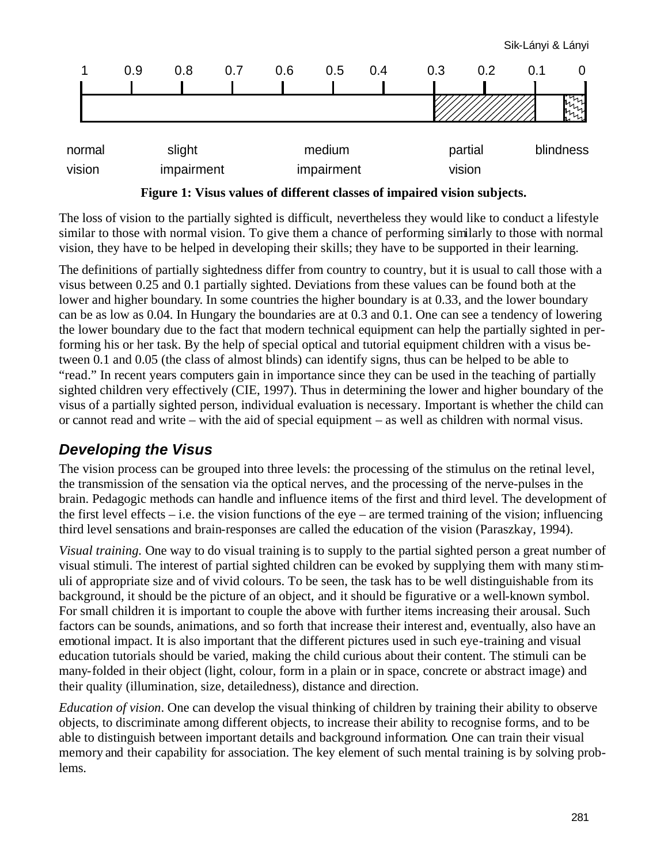

**Figure 1: Visus values of different classes of impaired vision subjects.**

The loss of vision to the partially sighted is difficult, nevertheless they would like to conduct a lifestyle similar to those with normal vision. To give them a chance of performing similarly to those with normal vision, they have to be helped in developing their skills; they have to be supported in their learning.

The definitions of partially sightedness differ from country to country, but it is usual to call those with a visus between 0.25 and 0.1 partially sighted. Deviations from these values can be found both at the lower and higher boundary. In some countries the higher boundary is at 0.33, and the lower boundary can be as low as 0.04. In Hungary the boundaries are at 0.3 and 0.1. One can see a tendency of lowering the lower boundary due to the fact that modern technical equipment can help the partially sighted in performing his or her task. By the help of special optical and tutorial equipment children with a visus between 0.1 and 0.05 (the class of almost blinds) can identify signs, thus can be helped to be able to "read." In recent years computers gain in importance since they can be used in the teaching of partially sighted children very effectively (CIE, 1997). Thus in determining the lower and higher boundary of the visus of a partially sighted person, individual evaluation is necessary. Important is whether the child can or cannot read and write – with the aid of special equipment – as well as children with normal visus.

#### *Developing the Visus*

The vision process can be grouped into three levels: the processing of the stimulus on the retinal level, the transmission of the sensation via the optical nerves, and the processing of the nerve-pulses in the brain. Pedagogic methods can handle and influence items of the first and third level. The development of the first level effects – i.e. the vision functions of the eye – are termed training of the vision; influencing third level sensations and brain-responses are called the education of the vision (Paraszkay, 1994).

*Visual training.* One way to do visual training is to supply to the partial sighted person a great number of visual stimuli. The interest of partial sighted children can be evoked by supplying them with many stimuli of appropriate size and of vivid colours. To be seen, the task has to be well distinguishable from its background, it should be the picture of an object, and it should be figurative or a well-known symbol. For small children it is important to couple the above with further items increasing their arousal. Such factors can be sounds, animations, and so forth that increase their interest and, eventually, also have an emotional impact. It is also important that the different pictures used in such eye-training and visual education tutorials should be varied, making the child curious about their content. The stimuli can be many-folded in their object (light, colour, form in a plain or in space, concrete or abstract image) and their quality (illumination, size, detailedness), distance and direction.

*Education of vision*. One can develop the visual thinking of children by training their ability to observe objects, to discriminate among different objects, to increase their ability to recognise forms, and to be able to distinguish between important details and background information. One can train their visual memory and their capability for association. The key element of such mental training is by solving problems.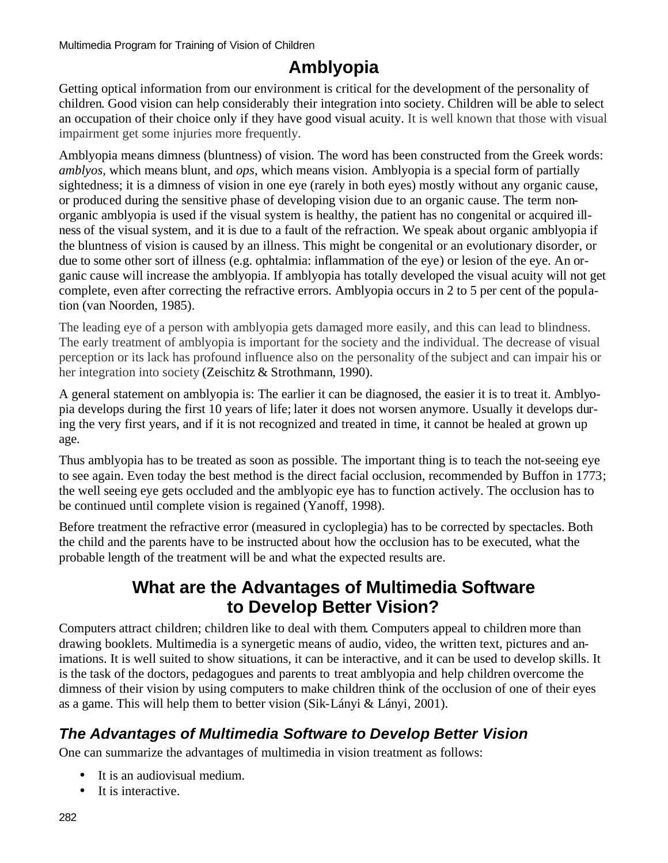# **Amblyopia**

Getting optical information from our environment is critical for the development of the personality of children. Good vision can help considerably their integration into society. Children will be able to select an occupation of their choice only if they have good visual acuity. It is well known that those with visual impairment get some injuries more frequently.

Amblyopia means dimness (bluntness) of vision. The word has been constructed from the Greek words: *amblyos*, which means blunt, and *ops*, which means vision. Amblyopia is a special form of partially sightedness; it is a dimness of vision in one eye (rarely in both eyes) mostly without any organic cause, or produced during the sensitive phase of developing vision due to an organic cause. The term nonorganic amblyopia is used if the visual system is healthy, the patient has no congenital or acquired illness of the visual system, and it is due to a fault of the refraction. We speak about organic amblyopia if the bluntness of vision is caused by an illness. This might be congenital or an evolutionary disorder, or due to some other sort of illness (e.g. ophtalmia: inflammation of the eye) or lesion of the eye. An organic cause will increase the amblyopia. If amblyopia has totally developed the visual acuity will not get complete, even after correcting the refractive errors. Amblyopia occurs in 2 to 5 per cent of the population (van Noorden, 1985).

The leading eye of a person with amblyopia gets damaged more easily, and this can lead to blindness. The early treatment of amblyopia is important for the society and the individual. The decrease of visual perception or its lack has profound influence also on the personality of the subject and can impair his or her integration into society (Zeischitz & Strothmann, 1990).

A general statement on amblyopia is: The earlier it can be diagnosed, the easier it is to treat it. Amblyopia develops during the first 10 years of life; later it does not worsen anymore. Usually it develops during the very first years, and if it is not recognized and treated in time, it cannot be healed at grown up age.

Thus amblyopia has to be treated as soon as possible. The important thing is to teach the not-seeing eye to see again. Even today the best method is the direct facial occlusion, recommended by Buffon in 1773; the well seeing eye gets occluded and the amblyopic eye has to function actively. The occlusion has to be continued until complete vision is regained (Yanoff, 1998).

Before treatment the refractive error (measured in cycloplegia) has to be corrected by spectacles. Both the child and the parents have to be instructed about how the occlusion has to be executed, what the probable length of the treatment will be and what the expected results are.

## **What are the Advantages of Multimedia Software to Develop Better Vision?**

Computers attract children; children like to deal with them. Computers appeal to children more than drawing booklets. Multimedia is a synergetic means of audio, video, the written text, pictures and animations. It is well suited to show situations, it can be interactive, and it can be used to develop skills. It is the task of the doctors, pedagogues and parents to treat amblyopia and help children overcome the dimness of their vision by using computers to make children think of the occlusion of one of their eyes as a game. This will help them to better vision (Sik-Lányi & Lányi, 2001).

## *The Advantages of Multimedia Software to Develop Better Vision*

One can summarize the advantages of multimedia in vision treatment as follows:

- It is an audiovisual medium.
- It is interactive.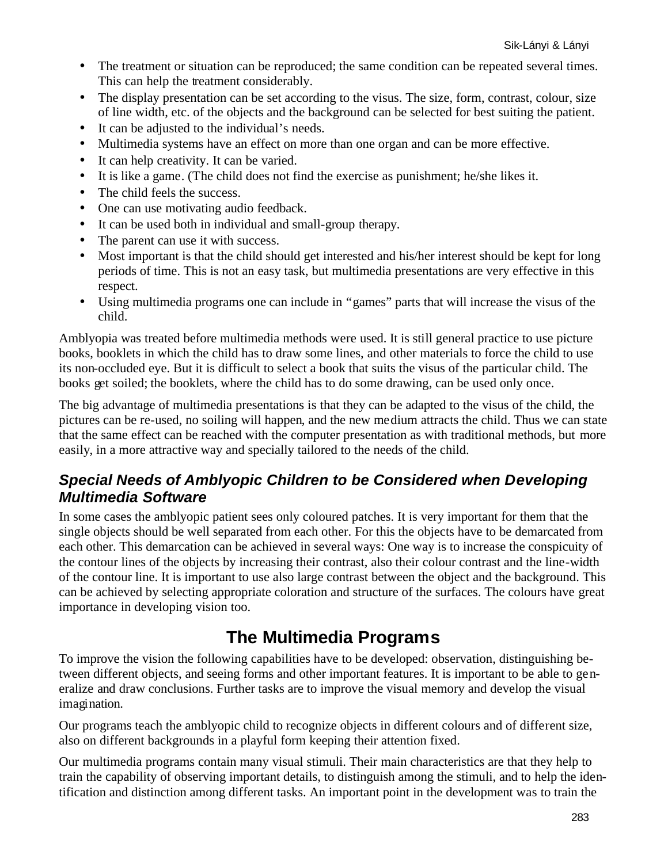- The treatment or situation can be reproduced; the same condition can be repeated several times. This can help the treatment considerably.
- The display presentation can be set according to the visus. The size, form, contrast, colour, size of line width, etc. of the objects and the background can be selected for best suiting the patient.
- It can be adjusted to the individual's needs.
- Multimedia systems have an effect on more than one organ and can be more effective.
- It can help creativity. It can be varied.
- It is like a game. (The child does not find the exercise as punishment; he/she likes it.
- The child feels the success.
- One can use motivating audio feedback.
- It can be used both in individual and small-group therapy.
- The parent can use it with success.
- Most important is that the child should get interested and his/her interest should be kept for long periods of time. This is not an easy task, but multimedia presentations are very effective in this respect.
- Using multimedia programs one can include in "games" parts that will increase the visus of the child.

Amblyopia was treated before multimedia methods were used. It is still general practice to use picture books, booklets in which the child has to draw some lines, and other materials to force the child to use its non-occluded eye. But it is difficult to select a book that suits the visus of the particular child. The books get soiled; the booklets, where the child has to do some drawing, can be used only once.

The big advantage of multimedia presentations is that they can be adapted to the visus of the child, the pictures can be re-used, no soiling will happen, and the new medium attracts the child. Thus we can state that the same effect can be reached with the computer presentation as with traditional methods, but more easily, in a more attractive way and specially tailored to the needs of the child.

### *Special Needs of Amblyopic Children to be Considered when Developing Multimedia Software*

In some cases the amblyopic patient sees only coloured patches. It is very important for them that the single objects should be well separated from each other. For this the objects have to be demarcated from each other. This demarcation can be achieved in several ways: One way is to increase the conspicuity of the contour lines of the objects by increasing their contrast, also their colour contrast and the line-width of the contour line. It is important to use also large contrast between the object and the background. This can be achieved by selecting appropriate coloration and structure of the surfaces. The colours have great importance in developing vision too.

# **The Multimedia Programs**

To improve the vision the following capabilities have to be developed: observation, distinguishing between different objects, and seeing forms and other important features. It is important to be able to generalize and draw conclusions. Further tasks are to improve the visual memory and develop the visual imagination.

Our programs teach the amblyopic child to recognize objects in different colours and of different size, also on different backgrounds in a playful form keeping their attention fixed.

Our multimedia programs contain many visual stimuli. Their main characteristics are that they help to train the capability of observing important details, to distinguish among the stimuli, and to help the identification and distinction among different tasks. An important point in the development was to train the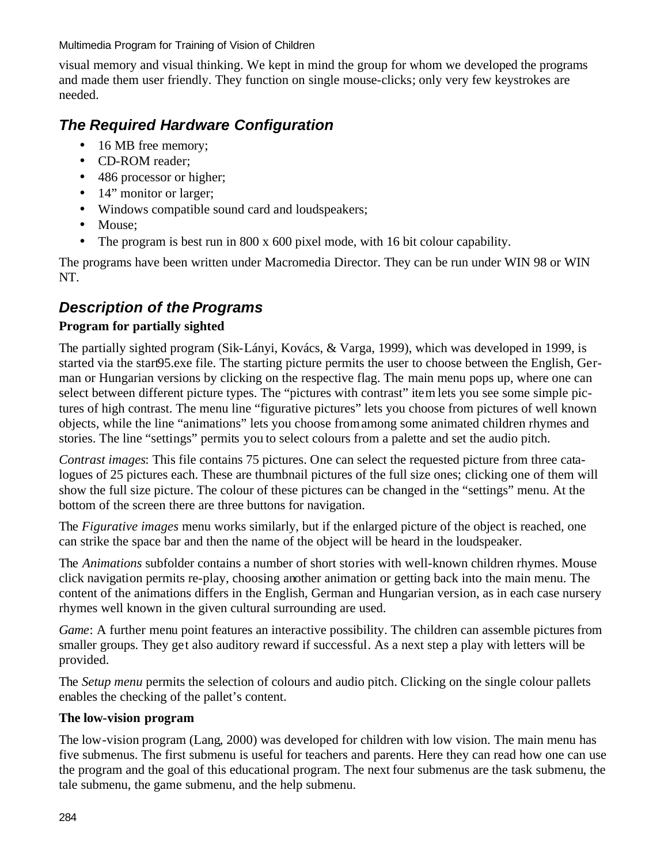visual memory and visual thinking. We kept in mind the group for whom we developed the programs and made them user friendly. They function on single mouse-clicks; only very few keystrokes are needed.

### *The Required Hardware Configuration*

- 16 MB free memory;
- CD-ROM reader:
- 486 processor or higher;
- 14" monitor or larger;
- Windows compatible sound card and loudspeakers;
- Mouse:
- The program is best run in 800 x 600 pixel mode, with 16 bit colour capability.

The programs have been written under Macromedia Director. They can be run under WIN 98 or WIN NT.

### *Description of the Programs*

#### **Program for partially sighted**

The partially sighted program (Sik-Lányi, Kovács, & Varga, 1999), which was developed in 1999, is started via the start95.exe file. The starting picture permits the user to choose between the English, German or Hungarian versions by clicking on the respective flag. The main menu pops up, where one can select between different picture types. The "pictures with contrast" item lets you see some simple pictures of high contrast. The menu line "figurative pictures" lets you choose from pictures of well known objects, while the line "animations" lets you choose from among some animated children rhymes and stories. The line "settings" permits you to select colours from a palette and set the audio pitch.

*Contrast images*: This file contains 75 pictures. One can select the requested picture from three catalogues of 25 pictures each. These are thumbnail pictures of the full size ones; clicking one of them will show the full size picture. The colour of these pictures can be changed in the "settings" menu. At the bottom of the screen there are three buttons for navigation.

The *Figurative images* menu works similarly, but if the enlarged picture of the object is reached, one can strike the space bar and then the name of the object will be heard in the loudspeaker.

The *Animations* subfolder contains a number of short stories with well-known children rhymes. Mouse click navigation permits re-play, choosing another animation or getting back into the main menu. The content of the animations differs in the English, German and Hungarian version, as in each case nursery rhymes well known in the given cultural surrounding are used.

*Game*: A further menu point features an interactive possibility. The children can assemble pictures from smaller groups. They get also auditory reward if successful. As a next step a play with letters will be provided.

The *Setup menu* permits the selection of colours and audio pitch. Clicking on the single colour pallets enables the checking of the pallet's content.

#### **The low-vision program**

The low-vision program (Lang, 2000) was developed for children with low vision. The main menu has five submenus. The first submenu is useful for teachers and parents. Here they can read how one can use the program and the goal of this educational program. The next four submenus are the task submenu, the tale submenu, the game submenu, and the help submenu.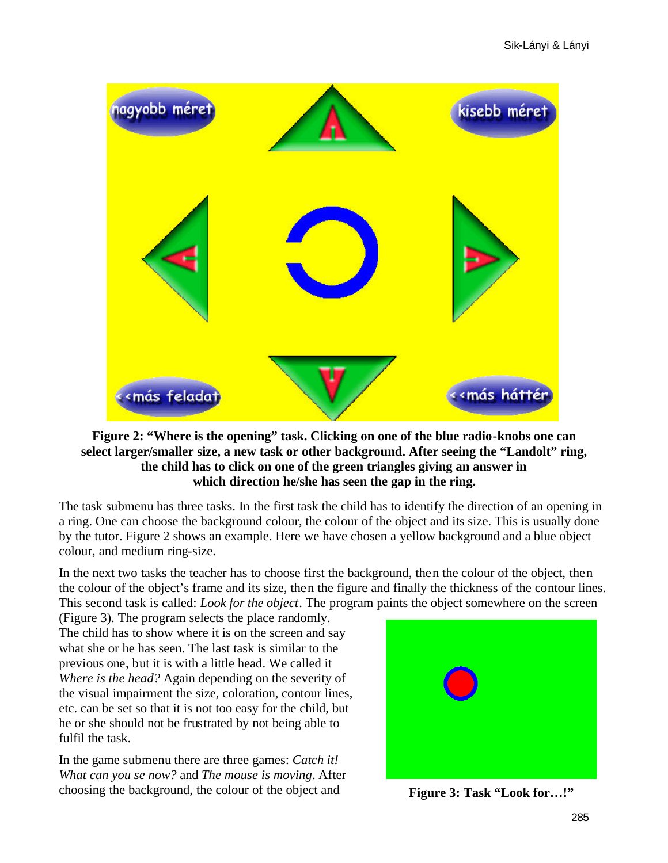

#### **Figure 2: "Where is the opening" task. Clicking on one of the blue radio-knobs one can select larger/smaller size, a new task or other background. After seeing the "Landolt" ring, the child has to click on one of the green triangles giving an answer in which direction he/she has seen the gap in the ring.**

The task submenu has three tasks. In the first task the child has to identify the direction of an opening in a ring. One can choose the background colour, the colour of the object and its size. This is usually done by the tutor. Figure 2 shows an example. Here we have chosen a yellow background and a blue object colour, and medium ring-size.

In the next two tasks the teacher has to choose first the background, then the colour of the object, then the colour of the object's frame and its size, then the figure and finally the thickness of the contour lines. This second task is called: *Look for the object*. The program paints the object somewhere on the screen

(Figure 3). The program selects the place randomly. The child has to show where it is on the screen and say what she or he has seen. The last task is similar to the previous one, but it is with a little head. We called it *Where is the head?* Again depending on the severity of the visual impairment the size, coloration, contour lines, etc. can be set so that it is not too easy for the child, but he or she should not be frustrated by not being able to fulfil the task.

In the game submenu there are three games: *Catch it! What can you se now?* and *The mouse is moving*. After choosing the background, the colour of the object and



**Figure 3: Task "Look for…!"**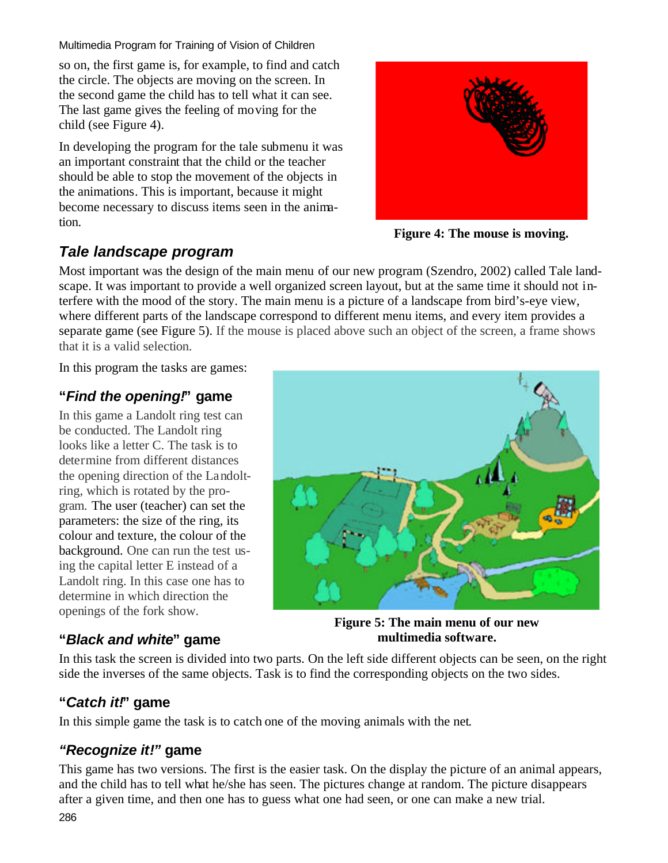so on, the first game is, for example, to find and catch the circle. The objects are moving on the screen. In the second game the child has to tell what it can see. The last game gives the feeling of moving for the child (see Figure 4).

In developing the program for the tale submenu it was an important constraint that the child or the teacher should be able to stop the movement of the objects in the animations. This is important, because it might become necessary to discuss items seen in the animation.



**Figure 4: The mouse is moving.**

## *Tale landscape program*

Most important was the design of the main menu of our new program (Szendro, 2002) called Tale landscape. It was important to provide a well organized screen layout, but at the same time it should not interfere with the mood of the story. The main menu is a picture of a landscape from bird's-eye view, where different parts of the landscape correspond to different menu items, and every item provides a separate game (see Figure 5). If the mouse is placed above such an object of the screen, a frame shows that it is a valid selection.

In this program the tasks are games:

### **"***Find the opening!***" game**

In this game a Landolt ring test can be conducted. The Landolt ring looks like a letter C. The task is to determine from different distances the opening direction of the Landoltring, which is rotated by the program. The user (teacher) can set the parameters: the size of the ring, its colour and texture, the colour of the background. One can run the test using the capital letter E instead of a Landolt ring. In this case one has to determine in which direction the openings of the fork show.

### **"***Black and white***" game**



**Figure 5: The main menu of our new multimedia software.**

In this task the screen is divided into two parts. On the left side different objects can be seen, on the right side the inverses of the same objects. Task is to find the corresponding objects on the two sides.

### **"***Catch it!***" game**

In this simple game the task is to catch one of the moving animals with the net.

### *"Recognize it!"* **game**

This game has two versions. The first is the easier task. On the display the picture of an animal appears, and the child has to tell what he/she has seen. The pictures change at random. The picture disappears after a given time, and then one has to guess what one had seen, or one can make a new trial.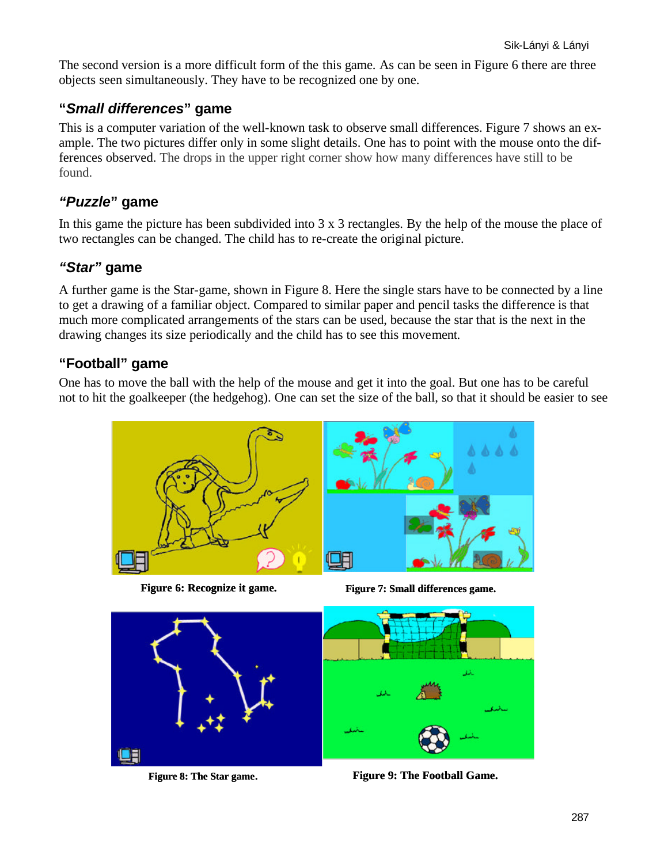The second version is a more difficult form of the this game. As can be seen in Figure 6 there are three objects seen simultaneously. They have to be recognized one by one.

#### **"***Small differences***" game**

This is a computer variation of the well-known task to observe small differences. Figure 7 shows an example. The two pictures differ only in some slight details. One has to point with the mouse onto the differences observed. The drops in the upper right corner show how many differences have still to be found.

#### *"Puzzle***" game**

In this game the picture has been subdivided into 3 x 3 rectangles. By the help of the mouse the place of two rectangles can be changed. The child has to re-create the original picture.

#### *"Star"* **game**

A further game is the Star-game, shown in Figure 8. Here the single stars have to be connected by a line to get a drawing of a familiar object. Compared to similar paper and pencil tasks the difference is that much more complicated arrangements of the stars can be used, because the star that is the next in the drawing changes its size periodically and the child has to see this movement.

#### **"Football" game**

One has to move the ball with the help of the mouse and get it into the goal. But one has to be careful not to hit the goalkeeper (the hedgehog). One can set the size of the ball, so that it should be easier to see

E



**Figure 6: Recognize it game. Figure 7: Small differences game.**



LE

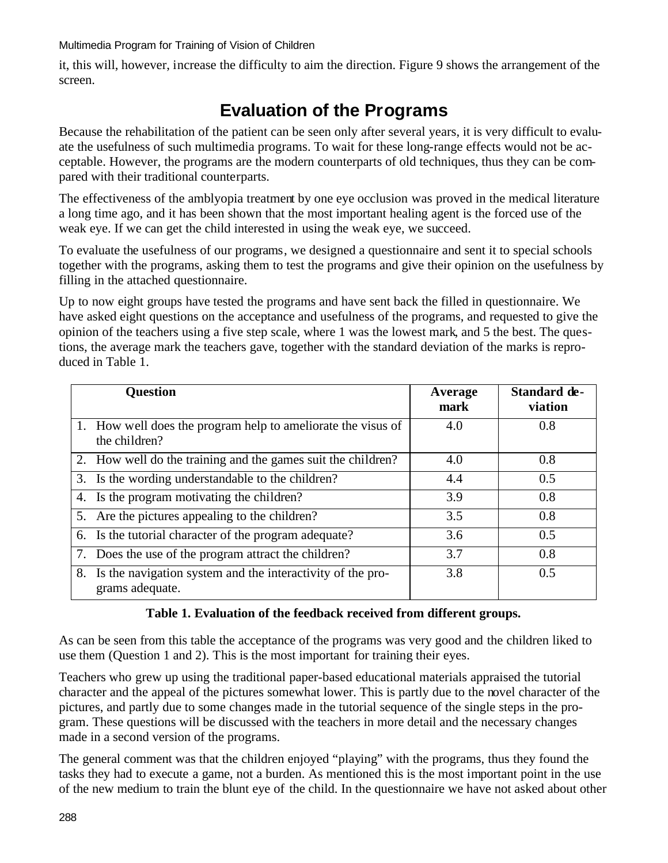it, this will, however, increase the difficulty to aim the direction. Figure 9 shows the arrangement of the screen.

# **Evaluation of the Programs**

Because the rehabilitation of the patient can be seen only after several years, it is very difficult to evaluate the usefulness of such multimedia programs. To wait for these long-range effects would not be acceptable. However, the programs are the modern counterparts of old techniques, thus they can be compared with their traditional counterparts.

The effectiveness of the amblyopia treatment by one eye occlusion was proved in the medical literature a long time ago, and it has been shown that the most important healing agent is the forced use of the weak eye. If we can get the child interested in using the weak eye, we succeed.

To evaluate the usefulness of our programs, we designed a questionnaire and sent it to special schools together with the programs, asking them to test the programs and give their opinion on the usefulness by filling in the attached questionnaire.

Up to now eight groups have tested the programs and have sent back the filled in questionnaire. We have asked eight questions on the acceptance and usefulness of the programs, and requested to give the opinion of the teachers using a five step scale, where 1 was the lowest mark, and 5 the best. The questions, the average mark the teachers gave, together with the standard deviation of the marks is reproduced in Table 1.

| <b>Question</b>                                                                     | Average<br>mark | Standard de-<br>viation |
|-------------------------------------------------------------------------------------|-----------------|-------------------------|
| 1. How well does the program help to ameliorate the visus of<br>the children?       | 4.0             | 0.8                     |
| 2. How well do the training and the games suit the children?                        | 4.0             | 0.8                     |
| 3. Is the wording understandable to the children?                                   | 4.4             | 0.5                     |
| 4. Is the program motivating the children?                                          | 3.9             | 0.8                     |
| 5. Are the pictures appealing to the children?                                      | 3.5             | 0.8                     |
| 6. Is the tutorial character of the program adequate?                               | 3.6             | 0.5                     |
| 7. Does the use of the program attract the children?                                | 3.7             | 0.8                     |
| Is the navigation system and the interactivity of the pro-<br>8.<br>grams adequate. | 3.8             | 0.5                     |

#### **Table 1. Evaluation of the feedback received from different groups.**

As can be seen from this table the acceptance of the programs was very good and the children liked to use them (Question 1 and 2). This is the most important for training their eyes.

Teachers who grew up using the traditional paper-based educational materials appraised the tutorial character and the appeal of the pictures somewhat lower. This is partly due to the novel character of the pictures, and partly due to some changes made in the tutorial sequence of the single steps in the program. These questions will be discussed with the teachers in more detail and the necessary changes made in a second version of the programs.

The general comment was that the children enjoyed "playing" with the programs, thus they found the tasks they had to execute a game, not a burden. As mentioned this is the most important point in the use of the new medium to train the blunt eye of the child. In the questionnaire we have not asked about other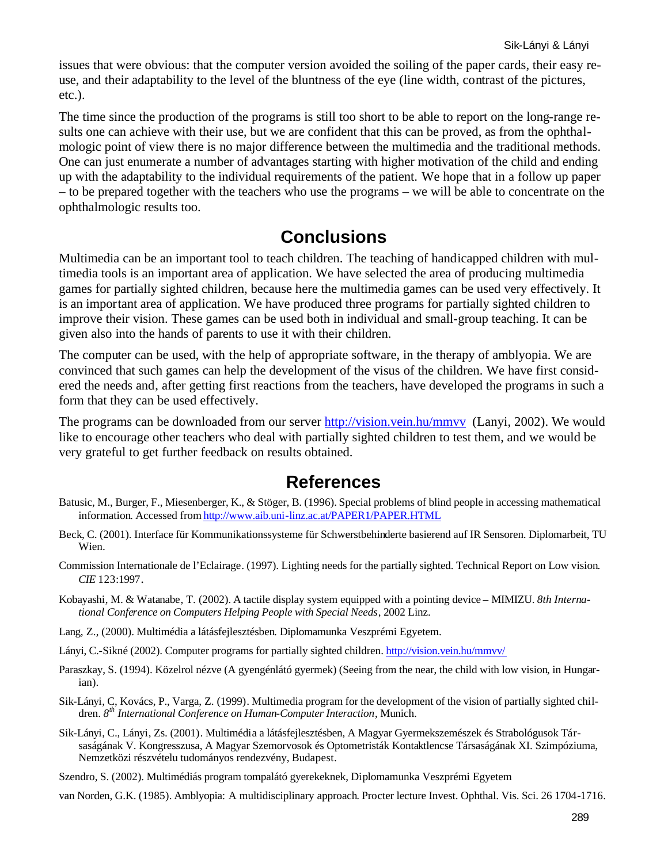issues that were obvious: that the computer version avoided the soiling of the paper cards, their easy reuse, and their adaptability to the level of the bluntness of the eye (line width, contrast of the pictures, etc.).

The time since the production of the programs is still too short to be able to report on the long-range results one can achieve with their use, but we are confident that this can be proved, as from the ophthalmologic point of view there is no major difference between the multimedia and the traditional methods. One can just enumerate a number of advantages starting with higher motivation of the child and ending up with the adaptability to the individual requirements of the patient. We hope that in a follow up paper – to be prepared together with the teachers who use the programs – we will be able to concentrate on the ophthalmologic results too.

# **Conclusions**

Multimedia can be an important tool to teach children. The teaching of handicapped children with multimedia tools is an important area of application. We have selected the area of producing multimedia games for partially sighted children, because here the multimedia games can be used very effectively. It is an important area of application. We have produced three programs for partially sighted children to improve their vision. These games can be used both in individual and small-group teaching. It can be given also into the hands of parents to use it with their children.

The computer can be used, with the help of appropriate software, in the therapy of amblyopia. We are convinced that such games can help the development of the visus of the children. We have first considered the needs and, after getting first reactions from the teachers, have developed the programs in such a form that they can be used effectively.

The programs can be downloaded from our server http://vision.vein.hu/mmvv (Lanyi, 2002). We would like to encourage other teachers who deal with partially sighted children to test them, and we would be very grateful to get further feedback on results obtained.

## **References**

- Batusic, M., Burger, F., Miesenberger, K., & Stöger, B. (1996). Special problems of blind people in accessing mathematical information. Accessed from http://www.aib.uni-linz.ac.at/PAPER1/PAPER.HTML
- Beck, C. (2001). Interface für Kommunikationssysteme für Schwerstbehinderte basierend auf IR Sensoren. Diplomarbeit, TU Wien.
- Commission Internationale de l'Eclairage. (1997). Lighting needs for the partially sighted. Technical Report on Low vision. *CIE* 123:1997.
- Kobayashi, M. & Watanabe, T. (2002). A tactile display system equipped with a pointing device MIMIZU. *8th International Conference on Computers Helping People with Special Needs*, 2002 Linz.
- Lang, Z., (2000). Multimédia a látásfejlesztésben. Diplomamunka Veszprémi Egyetem.
- Lányi, C.-Sikné (2002). Computer programs for partially sighted children. http://vision.vein.hu/mmvv/
- Paraszkay, S. (1994). Közelrol nézve (A gyengénlátó gyermek) (Seeing from the near, the child with low vision, in Hungarian).
- Sik-Lányi, C, Kovács, P., Varga, Z. (1999). Multimedia program for the development of the vision of partially sighted children. *8 th International Conference on Human-Computer Interaction*, Munich.
- Sik-Lányi, C., Lányi, Zs. (2001). Multimédia a látásfejlesztésben, A Magyar Gyermekszemészek és Strabológusok Társaságának V. Kongresszusa, A Magyar Szemorvosok és Optometristák Kontaktlencse Társaságának XI. Szimpóziuma, Nemzetközi részvételu tudományos rendezvény, Budapest.
- Szendro, S. (2002). Multimédiás program tompalátó gyerekeknek, Diplomamunka Veszprémi Egyetem

van Norden, G.K. (1985). Amblyopia: A multidisciplinary approach. Procter lecture Invest. Ophthal. Vis. Sci. 26 1704-1716.